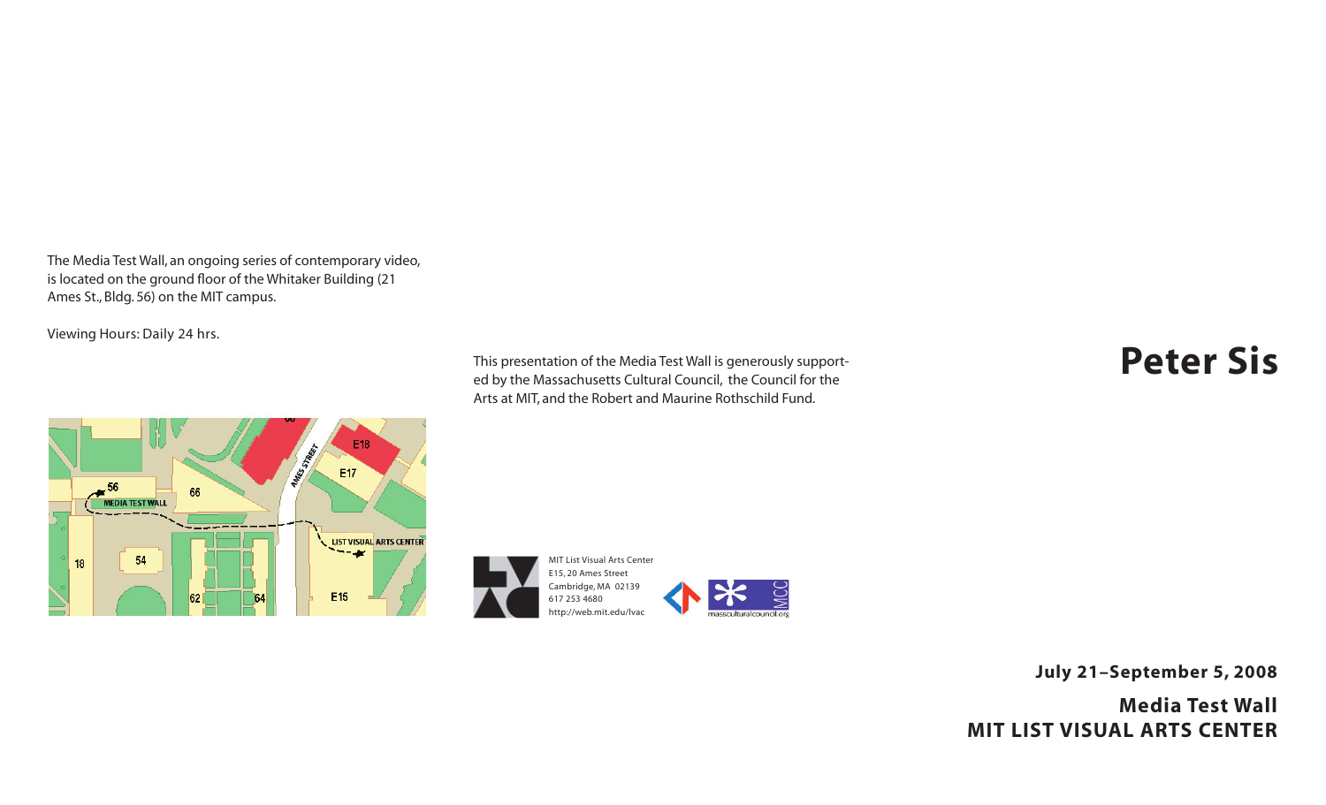The Media Test Wall, an ongoing series of contemporary video, is located on the ground floor of the Whitaker Building (21 Ames St., Bldg. 56) on the MIT campus.

Viewing Hours: Daily 24 hrs.



This presentation of the Media Test Wall is generously supported by the Massachusetts Cultural Council, the Council for the Arts at MIT, and the Robert and Maurine Rothschild Fund.

## **Peter Sis**



**July 21–September 5, 2008**

**Media Test Wall MIT LIST VISUAL ARTS CENTER**